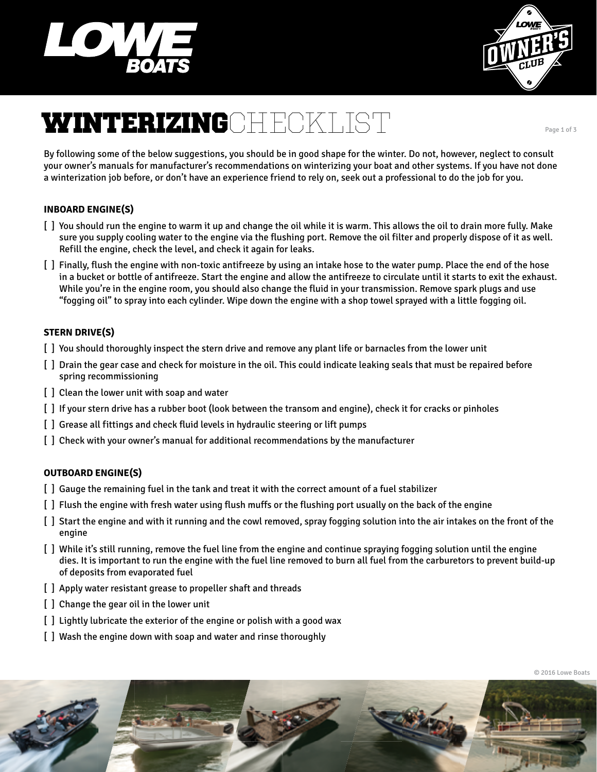



# **WINTERIZING**CHECKLIST

By following some of the below suggestions, you should be in good shape for the winter. Do not, however, neglect to consult your owner's manuals for manufacturer's recommendations on winterizing your boat and other systems. If you have not done a winterization job before, or don't have an experience friend to rely on, seek out a professional to do the job for you.

## **INBOARD ENGINE(S)**

- [ ] You should run the engine to warm it up and change the oil while it is warm. This allows the oil to drain more fully. Make sure you supply cooling water to the engine via the flushing port. Remove the oil filter and properly dispose of it as well. Refill the engine, check the level, and check it again for leaks.
- [ ] Finally, flush the engine with non-toxic antifreeze by using an intake hose to the water pump. Place the end of the hose in a bucket or bottle of antifreeze. Start the engine and allow the antifreeze to circulate until it starts to exit the exhaust. While you're in the engine room, you should also change the fluid in your transmission. Remove spark plugs and use "fogging oil" to spray into each cylinder. Wipe down the engine with a shop towel sprayed with a little fogging oil.

## **STERN DRIVE(S)**

- [ ] You should thoroughly inspect the stern drive and remove any plant life or barnacles from the lower unit
- [ ] Drain the gear case and check for moisture in the oil. This could indicate leaking seals that must be repaired before spring recommissioning
- [ ] Clean the lower unit with soap and water
- [ ] If your stern drive has a rubber boot (look between the transom and engine), check it for cracks or pinholes
- [ ] Grease all fittings and check fluid levels in hydraulic steering or lift pumps
- [ ] Check with your owner's manual for additional recommendations by the manufacturer

## **OUTBOARD ENGINE(S)**

- [ ] Gauge the remaining fuel in the tank and treat it with the correct amount of a fuel stabilizer
- [ ] Flush the engine with fresh water using flush muffs or the flushing port usually on the back of the engine
- [ ] Start the engine and with it running and the cowl removed, spray fogging solution into the air intakes on the front of the engine
- [ ] While it's still running, remove the fuel line from the engine and continue spraying fogging solution until the engine dies. It is important to run the engine with the fuel line removed to burn all fuel from the carburetors to prevent build-up of deposits from evaporated fuel
- [ ] Apply water resistant grease to propeller shaft and threads
- [ ] Change the gear oil in the lower unit
- [ ] Lightly lubricate the exterior of the engine or polish with a good wax
- [ ] Wash the engine down with soap and water and rinse thoroughly



Page 1 of 3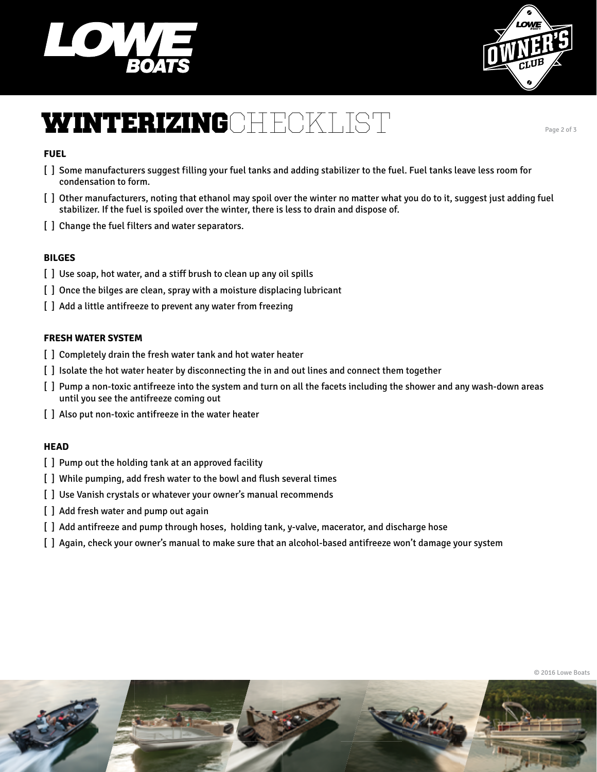



# **WINTERIZING**CHECKLIST

#### **FUEL**

- [ ] Some manufacturers suggest filling your fuel tanks and adding stabilizer to the fuel. Fuel tanks leave less room for condensation to form.
- [ ] Other manufacturers, noting that ethanol may spoil over the winter no matter what you do to it, suggest just adding fuel stabilizer. If the fuel is spoiled over the winter, there is less to drain and dispose of.
- [] Change the fuel filters and water separators.

### **BILGES**

- [] Use soap, hot water, and a stiff brush to clean up any oil spills
- [] Once the bilges are clean, spray with a moisture displacing lubricant
- [] Add a little antifreeze to prevent any water from freezing

#### **FRESH WATER SYSTEM**

- [] Completely drain the fresh water tank and hot water heater
- [ ] Isolate the hot water heater by disconnecting the in and out lines and connect them together
- [ ] Pump a non-toxic antifreeze into the system and turn on all the facets including the shower and any wash-down areas until you see the antifreeze coming out
- [] Also put non-toxic antifreeze in the water heater

#### **HEAD**

- [ ] Pump out the holding tank at an approved facility
- [] While pumping, add fresh water to the bowl and flush several times
- [] Use Vanish crystals or whatever your owner's manual recommends
- [] Add fresh water and pump out again
- [ ] Add antifreeze and pump through hoses, holding tank, y-valve, macerator, and discharge hose
- [ ] Again, check your owner's manual to make sure that an alcohol-based antifreeze won't damage your system



Page 2 of 3